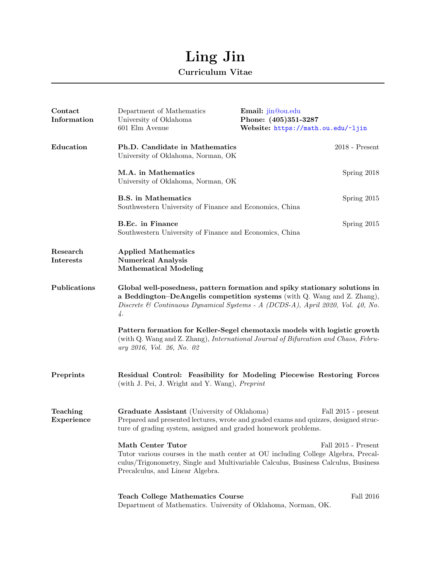## Ling Jin

## Curriculum Vitae

| Contact<br>Information | Department of Mathematics<br>University of Oklahoma<br>601 Elm Avenue                                                                                                                                                                                          | Email: jin@ou.edu<br>Phone: (405)351-3287<br>Website: https://math.ou.edu/~ljin                                                                                  |
|------------------------|----------------------------------------------------------------------------------------------------------------------------------------------------------------------------------------------------------------------------------------------------------------|------------------------------------------------------------------------------------------------------------------------------------------------------------------|
| Education              | Ph.D. Candidate in Mathematics<br>University of Oklahoma, Norman, OK                                                                                                                                                                                           | $2018$ - Present                                                                                                                                                 |
|                        | M.A. in Mathematics<br>University of Oklahoma, Norman, OK                                                                                                                                                                                                      | Spring 2018                                                                                                                                                      |
|                        | <b>B.S.</b> in Mathematics<br>Southwestern University of Finance and Economics, China                                                                                                                                                                          | Spring 2015                                                                                                                                                      |
|                        | B.Ec. in Finance<br>Southwestern University of Finance and Economics, China                                                                                                                                                                                    | Spring 2015                                                                                                                                                      |
| Research<br>Interests  | <b>Applied Mathematics</b><br><b>Numerical Analysis</b><br><b>Mathematical Modeling</b>                                                                                                                                                                        |                                                                                                                                                                  |
| Publications           | Global well-posedness, pattern formation and spiky stationary solutions in<br>a Beddington-DeAngelis competition systems (with Q. Wang and Z. Zhang),<br>Discrete & Continuous Dynamical Systems - A (DCDS-A), April 2020, Vol. 40, No.<br>$\frac{1}{4}$ .     |                                                                                                                                                                  |
|                        | ary 2016, Vol. 26, No. 02                                                                                                                                                                                                                                      | Pattern formation for Keller-Segel chemotaxis models with logistic growth<br>(with Q. Wang and Z. Zhang), International Journal of Bifurcation and Chaos, Febru- |
| Preprints              | (with J. Pei, J. Wright and Y. Wang), Preprint                                                                                                                                                                                                                 | Residual Control: Feasibility for Modeling Piecewise Restoring Forces                                                                                            |
| Teaching<br>Experience | Graduate Assistant (University of Oklahoma)<br>Fall 2015 - present<br>Prepared and presented lectures, wrote and graded exams and quizzes, designed struc-<br>ture of grading system, assigned and graded homework problems.                                   |                                                                                                                                                                  |
|                        | <b>Math Center Tutor</b><br>Fall 2015 - Present<br>Tutor various courses in the math center at OU including College Algebra, Precal-<br>culus/Trigonometry, Single and Multivariable Calculus, Business Calculus, Business<br>Precalculus, and Linear Algebra. |                                                                                                                                                                  |
|                        | <b>Teach College Mathematics Course</b><br>Department of Mathematics. University of Oklahoma, Norman, OK.                                                                                                                                                      | Fall 2016                                                                                                                                                        |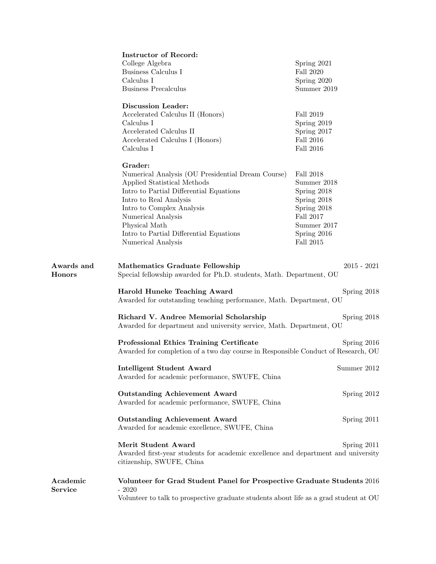|                             | <b>Instructor of Record:</b>                                                                                                                        |                  |  |  |
|-----------------------------|-----------------------------------------------------------------------------------------------------------------------------------------------------|------------------|--|--|
|                             | College Algebra                                                                                                                                     | Spring 2021      |  |  |
|                             | Business Calculus I                                                                                                                                 | <b>Fall 2020</b> |  |  |
|                             | Calculus I                                                                                                                                          | Spring 2020      |  |  |
|                             | <b>Business Precalculus</b>                                                                                                                         | Summer 2019      |  |  |
|                             | <b>Discussion Leader:</b>                                                                                                                           |                  |  |  |
|                             | Accelerated Calculus II (Honors)                                                                                                                    | Fall 2019        |  |  |
|                             | Calculus I                                                                                                                                          | Spring 2019      |  |  |
|                             | Accelerated Calculus II                                                                                                                             | Spring 2017      |  |  |
|                             | Accelerated Calculus I (Honors)                                                                                                                     | <b>Fall 2016</b> |  |  |
|                             | Calculus I                                                                                                                                          | Fall 2016        |  |  |
|                             | Grader:                                                                                                                                             |                  |  |  |
|                             |                                                                                                                                                     | Fall 2018        |  |  |
|                             | Numerical Analysis (OU Presidential Dream Course)                                                                                                   | Summer 2018      |  |  |
|                             | Applied Statistical Methods                                                                                                                         |                  |  |  |
|                             | Intro to Partial Differential Equations                                                                                                             | Spring 2018      |  |  |
|                             | Intro to Real Analysis                                                                                                                              | Spring 2018      |  |  |
|                             | Intro to Complex Analysis                                                                                                                           | Spring 2018      |  |  |
|                             | Numerical Analysis                                                                                                                                  | Fall 2017        |  |  |
|                             | Physical Math                                                                                                                                       | Summer 2017      |  |  |
|                             | Intro to Partial Differential Equations                                                                                                             | Spring 2016      |  |  |
|                             | Numerical Analysis                                                                                                                                  | Fall 2015        |  |  |
| Awards and<br><b>Honors</b> | <b>Mathematics Graduate Fellowship</b><br>$2015 - 2021$<br>Special fellowship awarded for Ph.D. students, Math. Department, OU                      |                  |  |  |
|                             | Harold Huneke Teaching Award                                                                                                                        | Spring 2018      |  |  |
|                             | Awarded for outstanding teaching performance, Math. Department, OU                                                                                  |                  |  |  |
|                             | Richard V. Andree Memorial Scholarship<br>Awarded for department and university service, Math. Department, OU                                       | Spring 2018      |  |  |
|                             | <b>Professional Ethics Training Certificate</b><br>Spring 2016<br>Awarded for completion of a two day course in Responsible Conduct of Research, OU |                  |  |  |
|                             | <b>Intelligent Student Award</b>                                                                                                                    | Summer 2012      |  |  |
|                             | Awarded for academic performance, SWUFE, China                                                                                                      |                  |  |  |
|                             | <b>Outstanding Achievement Award</b><br>Awarded for academic performance, SWUFE, China                                                              | Spring 2012      |  |  |
|                             | <b>Outstanding Achievement Award</b><br>Awarded for academic excellence, SWUFE, China                                                               | Spring 2011      |  |  |
|                             | Merit Student Award                                                                                                                                 | Spring 2011      |  |  |
|                             | Awarded first-year students for academic excellence and department and university<br>citizenship, SWUFE, China                                      |                  |  |  |
| Academic<br><b>Service</b>  | Volunteer for Grad Student Panel for Prospective Graduate Students 2016<br>$-2020$                                                                  |                  |  |  |
|                             | Volunteer to talk to prospective graduate students about life as a grad student at OU                                                               |                  |  |  |